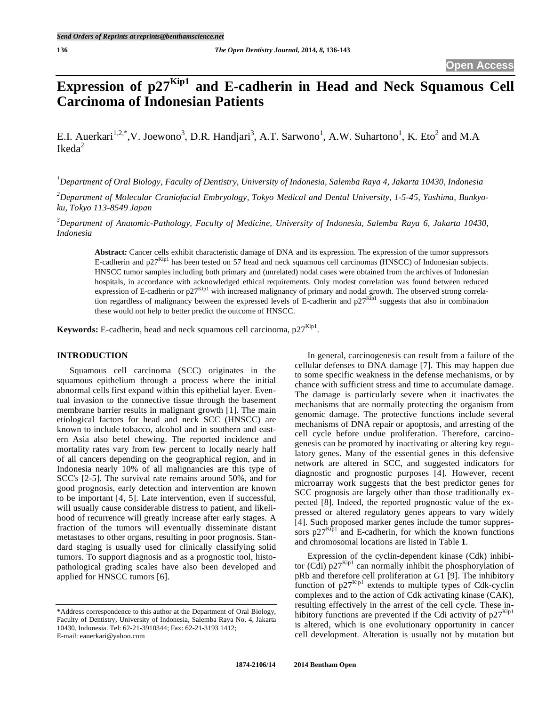# **Expression of p27**<sup>Kip1</sup> and E-cadherin in Head and Neck Squamous Cell **Carcinoma of Indonesian Patients**

E.I. Auerkari<sup>1,2,\*</sup>,V. Joewono<sup>3</sup>, D.R. Handjari<sup>3</sup>, A.T. Sarwono<sup>1</sup>, A.W. Suhartono<sup>1</sup>, K. Eto<sup>2</sup> and M.A  $Ikeda<sup>2</sup>$ 

*1 Department of Oral Biology, Faculty of Dentistry, University of Indonesia, Salemba Raya 4, Jakarta 10430, Indonesia* 

*2 Department of Molecular Craniofacial Embryology, Tokyo Medical and Dental University, 1-5-45, Yushima, Bunkyoku, Tokyo 113-8549 Japan* 

*3 Department of Anatomic-Pathology, Faculty of Medicine, University of Indonesia, Salemba Raya 6, Jakarta 10430, Indonesia* 

**Abstract:** Cancer cells exhibit characteristic damage of DNA and its expression. The expression of the tumor suppressors E-cadherin and p27<sup>Kip1</sup> has been tested on 57 head and neck squamous cell carcinomas (HNSCC) of Indonesian subjects. HNSCC tumor samples including both primary and (unrelated) nodal cases were obtained from the archives of Indonesian hospitals, in accordance with acknowledged ethical requirements. Only modest correlation was found between reduced expression of E-cadherin or  $p27^{Kip1}$  with increased malignancy of primary and nodal growth. The observed strong correlation regardless of malignancy between the expressed levels of E-cadherin and  $p27^{Kip1}$  suggests that also in combination these would not help to better predict the outcome of HNSCC.

**Keywords:** E-cadherin, head and neck squamous cell carcinoma.  $p27^{Kip1}$ .

## **INTRODUCTION**

Squamous cell carcinoma (SCC) originates in the squamous epithelium through a process where the initial abnormal cells first expand within this epithelial layer. Eventual invasion to the connective tissue through the basement membrane barrier results in malignant growth [1]. The main etiological factors for head and neck SCC (HNSCC) are known to include tobacco, alcohol and in southern and eastern Asia also betel chewing. The reported incidence and mortality rates vary from few percent to locally nearly half of all cancers depending on the geographical region, and in Indonesia nearly 10% of all malignancies are this type of SCC's [2-5]. The survival rate remains around 50%, and for good prognosis, early detection and intervention are known to be important [4, 5]. Late intervention, even if successful, will usually cause considerable distress to patient, and likelihood of recurrence will greatly increase after early stages. A fraction of the tumors will eventually disseminate distant metastases to other organs, resulting in poor prognosis. Standard staging is usually used for clinically classifying solid tumors. To support diagnosis and as a prognostic tool, histopathological grading scales have also been developed and applied for HNSCC tumors [6].

In general, carcinogenesis can result from a failure of the cellular defenses to DNA damage [7]. This may happen due to some specific weakness in the defense mechanisms, or by chance with sufficient stress and time to accumulate damage. The damage is particularly severe when it inactivates the mechanisms that are normally protecting the organism from genomic damage. The protective functions include several mechanisms of DNA repair or apoptosis, and arresting of the cell cycle before undue proliferation. Therefore, carcinogenesis can be promoted by inactivating or altering key regulatory genes. Many of the essential genes in this defensive network are altered in SCC, and suggested indicators for diagnostic and prognostic purposes [4]. However, recent microarray work suggests that the best predictor genes for SCC prognosis are largely other than those traditionally expected [8]. Indeed, the reported prognostic value of the expressed or altered regulatory genes appears to vary widely [4]. Such proposed marker genes include the tumor suppressors  $p27^{Kip1}$  and E-cadherin, for which the known functions and chromosomal locations are listed in Table **1**.

Expression of the cyclin-dependent kinase (Cdk) inhibitor (Cdi)  $p27^{Kip1}$  can normally inhibit the phosphorylation of pRb and therefore cell proliferation at G1 [9]. The inhibitory function of p27<sup>Kip1</sup> extends to multiple types of Cdk-cyclin complexes and to the action of Cdk activating kinase (CAK), resulting effectively in the arrest of the cell cycle. These inhibitory functions are prevented if the Cdi activity of  $p27^{Kip1}$ is altered, which is one evolutionary opportunity in cancer cell development. Alteration is usually not by mutation but

<sup>\*</sup>Address correspondence to this author at the Department of Oral Biology, Faculty of Dentistry, University of Indonesia, Salemba Raya No. 4, Jakarta 10430, Indonesia. Tel: 62-21-3910344; Fax: 62-21-3193 1412; E-mail: eauerkari@yahoo.com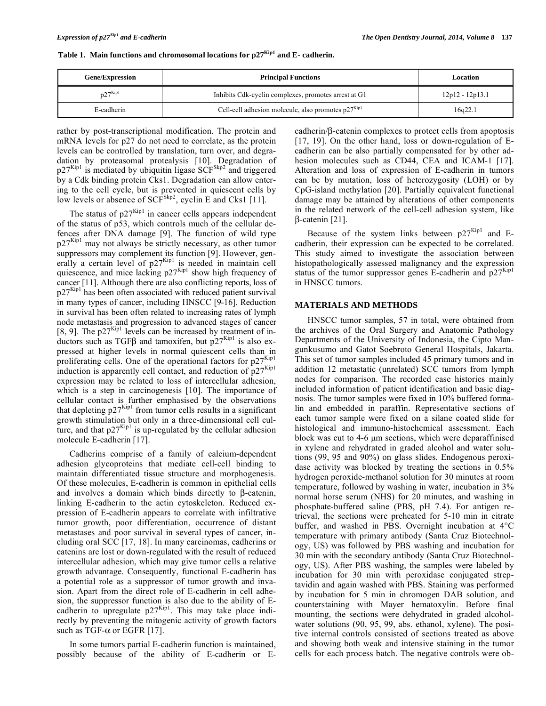|  | Table 1. Main functions and chromosomal locations for $p27^{Kip1}$ and E- cadherin. |  |  |  |  |
|--|-------------------------------------------------------------------------------------|--|--|--|--|
|--|-------------------------------------------------------------------------------------|--|--|--|--|

| <b>Gene/Expression</b> | <b>Principal Functions</b>                              | Location          |  |
|------------------------|---------------------------------------------------------|-------------------|--|
| $p27^{Kip1}$           | Inhibits Cdk-cyclin complexes, promotes arrest at G1    | $12p12 - 12p13.1$ |  |
| E-cadherin             | Cell-cell adhesion molecule, also promotes $p27^{Kip1}$ | 16q22.1           |  |

rather by post-transcriptional modification. The protein and mRNA levels for p27 do not need to correlate, as the protein levels can be controlled by translation, turn over, and degradation by proteasomal protealysis [10]. Degradation of  $p27<sup>Kip1</sup>$  is mediated by ubiquitin ligase SCF<sup>Skp2</sup> and triggered by a Cdk binding protein Cks1. Degradation can allow entering to the cell cycle, but is prevented in quiescent cells by low levels or absence of  $SCF<sup>Skp2</sup>$ , cyclin E and Cks1 [11].

The status of  $p27^{Kip1}$  in cancer cells appears independent of the status of p53, which controls much of the cellular defences after DNA damage [9]. The function of wild type  $p27<sup>Kip1</sup>$  may not always be strictly necessary, as other tumor suppressors may complement its function [9]. However, generally a certain level of  $p27<sup>Kip1</sup>$  is needed in maintain cell quiescence, and mice lacking  $p27^{Kip1}$  show high frequency of cancer [11]. Although there are also conflicting reports, loss of  $p27<sup>Kip1</sup>$  has been often associated with reduced patient survival in many types of cancer, including HNSCC [9-16]. Reduction in survival has been often related to increasing rates of lymph node metastasis and progression to advanced stages of cancer [8, 9]. The  $p27^{Kip1}$  levels can be increased by treatment of inductors such as TGF $\beta$  and tamoxifen, but p27<sup>Kip1</sup> is also expressed at higher levels in normal quiescent cells than in proliferating cells. One of the operational factors for  $p27<sup>Kip1</sup>$ induction is apparently cell contact, and reduction of  $p27^{Kip1}$ expression may be related to loss of intercellular adhesion, which is a step in carcinogenesis [10]. The importance of cellular contact is further emphasised by the observations that depleting  $p27<sup>Kip1</sup>$  from tumor cells results in a significant growth stimulation but only in a three-dimensional cell culture, and that  $p27^{Kip1}$  is up-regulated by the cellular adhesion molecule E-cadherin [17].

Cadherins comprise of a family of calcium-dependent adhesion glycoproteins that mediate cell-cell binding to maintain differentiated tissue structure and morphogenesis. Of these molecules, E-cadherin is common in epithelial cells and involves a domain which binds directly to  $\beta$ -catenin, linking E-cadherin to the actin cytoskeleton. Reduced expression of E-cadherin appears to correlate with infiltrative tumor growth, poor differentiation, occurrence of distant metastases and poor survival in several types of cancer, including oral SCC [17, 18]. In many carcinomas, cadherins or catenins are lost or down-regulated with the result of reduced intercellular adhesion, which may give tumor cells a relative growth advantage. Consequently, functional E-cadherin has a potential role as a suppressor of tumor growth and invasion. Apart from the direct role of E-cadherin in cell adhesion, the suppressor function is also due to the ability of Ecadherin to upregulate  $p27<sup>Kip1</sup>$ . This may take place indirectly by preventing the mitogenic activity of growth factors such as TGF- $\alpha$  or EGFR [17].

In some tumors partial E-cadherin function is maintained, possibly because of the ability of E-cadherin or E-

 $c$ adherin/ $\beta$ -catenin complexes to protect cells from apoptosis [17, 19]. On the other hand, loss or down-regulation of Ecadherin can be also partially compensated for by other adhesion molecules such as CD44, CEA and ICAM-1 [17]. Alteration and loss of expression of E-cadherin in tumors can be by mutation, loss of heterozygosity (LOH) or by CpG-island methylation [20]. Partially equivalent functional damage may be attained by alterations of other components in the related network of the cell-cell adhesion system, like  $\beta$ -catenin [21].

Because of the system links between  $p27^{Kip1}$  and Ecadherin, their expression can be expected to be correlated. This study aimed to investigate the association between histopathologically assessed malignancy and the expression status of the tumor suppressor genes E-cadherin and  $p27<sup>Kip1</sup>$ in HNSCC tumors.

#### **MATERIALS AND METHODS**

HNSCC tumor samples, 57 in total, were obtained from the archives of the Oral Surgery and Anatomic Pathology Departments of the University of Indonesia, the Cipto Mangunkusumo and Gatot Soebroto General Hospitals, Jakarta. This set of tumor samples included 45 primary tumors and in addition 12 metastatic (unrelated) SCC tumors from lymph nodes for comparison. The recorded case histories mainly included information of patient identification and basic diagnosis. The tumor samples were fixed in 10% buffered formalin and embedded in paraffin. Representative sections of each tumor sample were fixed on a silane coated slide for histological and immuno-histochemical assessment. Each block was cut to 4-6 μm sections, which were deparaffinised in xylene and rehydrated in graded alcohol and water solutions (99, 95 and 90%) on glass slides. Endogenous peroxidase activity was blocked by treating the sections in 0.5% hydrogen peroxide-methanol solution for 30 minutes at room temperature, followed by washing in water, incubation in 3% normal horse serum (NHS) for 20 minutes, and washing in phosphate-buffered saline (PBS, pH 7.4). For antigen retrieval, the sections were preheated for 5-10 min in citrate buffer, and washed in PBS. Overnight incubation at 4°C temperature with primary antibody (Santa Cruz Biotechnology, US) was followed by PBS washing and incubation for 30 min with the secondary antibody (Santa Cruz Biotechnology, US). After PBS washing, the samples were labeled by incubation for 30 min with peroxidase conjugated streptavidin and again washed with PBS. Staining was performed by incubation for 5 min in chromogen DAB solution, and counterstaining with Mayer hematoxylin. Before final mounting, the sections were dehydrated in graded alcoholwater solutions (90, 95, 99, abs. ethanol, xylene). The positive internal controls consisted of sections treated as above and showing both weak and intensive staining in the tumor cells for each process batch. The negative controls were ob-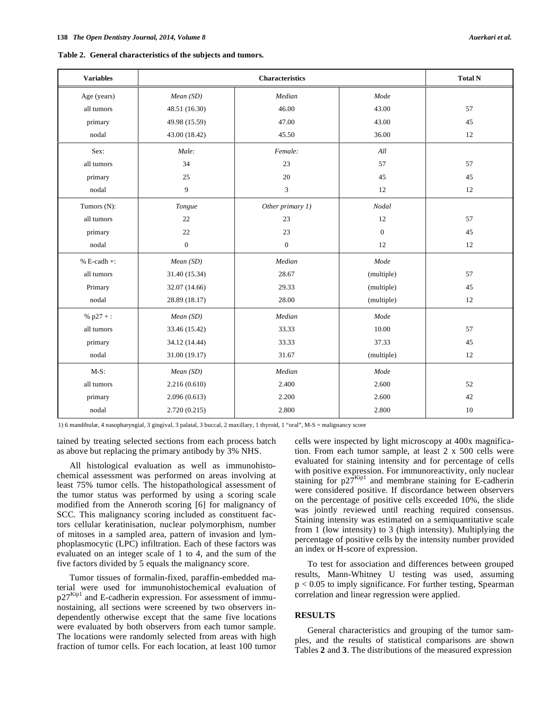| Table 2. General characteristics of the subjects and tumors. |
|--------------------------------------------------------------|
|--------------------------------------------------------------|

| <b>Variables</b> | <b>Characteristics</b> |                  |              | <b>Total N</b> |
|------------------|------------------------|------------------|--------------|----------------|
| Age (years)      | Mean (SD)              | Median           | Mode         |                |
| all tumors       | 48.51 (16.30)          | 46.00            | 43.00        | 57             |
| primary          | 49.98 (15.59)          | 47.00            | 43.00        | 45             |
| nodal            | 43.00 (18.42)          | 45.50            | 36.00        | 12             |
| Sex:             | Male:                  | Female:          | All          |                |
| all tumors       | 34                     | 23               | 57           | 57             |
| primary          | 25                     | 20               | 45           | 45             |
| nodal            | 9                      | 3                | 12           | 12             |
| Tumors (N):      | Tongue                 | Other primary 1) | Nodal        |                |
| all tumors       | 22                     | 23               | 12           | 57             |
| primary          | 22                     | 23               | $\mathbf{0}$ | 45             |
| nodal            | $\boldsymbol{0}$       | $\mathbf{0}$     | 12           | 12             |
| $% E-cadh +:$    | Mean(SD)               | Median           | Mode         |                |
| all tumors       | 31.40 (15.34)          | 28.67            | (multiple)   | 57             |
| Primary          | 32.07 (14.66)          | 29.33            | (multiple)   | $45\,$         |
| nodal            | 28.89 (18.17)          | 28.00            | (multiple)   | 12             |
| % $p27 +$ :      | Mean (SD)              | Median           | Mode         |                |
| all tumors       | 33.46 (15.42)          | 33.33            | 10.00        | 57             |
| primary          | 34.12 (14.44)          | 33.33            | 37.33        | 45             |
| nodal            | 31.00 (19.17)          | 31.67            | (multiple)   | 12             |
| $M-S$ :          | Mean (SD)              | Median           | Mode         |                |
| all tumors       | 2.216(0.610)           | 2.400            | 2.600        | 52             |
| primary          | 2.096(0.613)           | 2.200            | 2.600        | 42             |
| nodal            | 2.720(0.215)           | 2.800            | 2.800        | $10\,$         |

1) 6 mandibular, 4 nasopharyngial, 3 gingival, 3 palatal, 3 buccal, 2 maxillary, 1 thyroid, 1 "oral", M-S = malignancy score

tained by treating selected sections from each process batch as above but replacing the primary antibody by 3% NHS.

All histological evaluation as well as immunohistochemical assessment was performed on areas involving at least 75% tumor cells. The histopathological assessment of the tumor status was performed by using a scoring scale modified from the Anneroth scoring [6] for malignancy of SCC. This malignancy scoring included as constituent factors cellular keratinisation, nuclear polymorphism, number of mitoses in a sampled area, pattern of invasion and lymphoplasmocytic (LPC) infiltration. Each of these factors was evaluated on an integer scale of 1 to 4, and the sum of the five factors divided by 5 equals the malignancy score.

Tumor tissues of formalin-fixed, paraffin-embedded material were used for immunohistochemical evaluation of  $p27<sup>Kip1</sup>$  and E-cadherin expression. For assessment of immunostaining, all sections were screened by two observers independently otherwise except that the same five locations were evaluated by both observers from each tumor sample. The locations were randomly selected from areas with high fraction of tumor cells. For each location, at least 100 tumor cells were inspected by light microscopy at 400x magnification. From each tumor sample, at least 2 x 500 cells were evaluated for staining intensity and for percentage of cells with positive expression. For immunoreactivity, only nuclear staining for  $p27^{Kip1}$  and membrane staining for E-cadherin were considered positive. If discordance between observers on the percentage of positive cells exceeded 10%, the slide was jointly reviewed until reaching required consensus. Staining intensity was estimated on a semiquantitative scale from 1 (low intensity) to 3 (high intensity). Multiplying the percentage of positive cells by the intensity number provided an index or H-score of expression.

To test for association and differences between grouped results, Mann-Whitney U testing was used, assuming  $p < 0.05$  to imply significance. For further testing, Spearman correlation and linear regression were applied.

### **RESULTS**

General characteristics and grouping of the tumor samples, and the results of statistical comparisons are shown Tables **2** and **3**. The distributions of the measured expression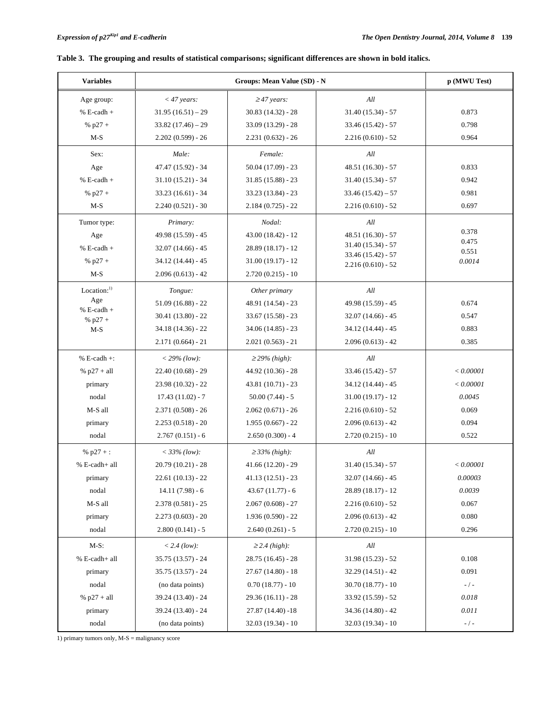| <b>Variables</b>          | Groups: Mean Value (SD) - N |                     | p (MWU Test)                               |                |
|---------------------------|-----------------------------|---------------------|--------------------------------------------|----------------|
| Age group:                | $<$ 47 years:               | $\geq$ 47 years:    | $\cal All$                                 |                |
| $% E-cadh +$              | $31.95(16.51) - 29$         | $30.83(14.32) - 28$ | $31.40(15.34) - 57$                        | 0.873          |
| % $p27 +$                 | $33.82(17.46) - 29$         | $33.09(13.29) - 28$ | $33.46(15.42) - 57$                        | 0.798          |
| $M-S$                     | $2.202(0.599) - 26$         | $2.231(0.632) - 26$ | $2.216(0.610) - 52$                        | 0.964          |
| Sex:                      | Male:                       | Female:             | All                                        |                |
| Age                       | 47.47 (15.92) - 34          | $50.04(17.09) - 23$ | $48.51(16.30) - 57$                        | 0.833          |
| $% E-cadh +$              | $31.10(15.21) - 34$         | $31.85(15.88) - 23$ | $31.40(15.34) - 57$                        | 0.942          |
| % $p27 +$                 | $33.23(16.61) - 34$         | $33.23(13.84) - 23$ | $33.46(15.42) - 57$                        | 0.981          |
| $M-S$                     | $2.240(0.521) - 30$         | $2.184(0.725) - 22$ | $2.216(0.610) - 52$                        | 0.697          |
| Tumor type:               | Primary:                    | Nodal:              | All                                        |                |
| Age                       | 49.98 (15.59) - 45          | $43.00(18.42) - 12$ | $48.51(16.30) - 57$                        | 0.378          |
| $% E-cadh +$              | $32.07(14.66) - 45$         | $28.89(18.17) - 12$ | $31.40(15.34) - 57$                        | 0.475<br>0.551 |
| % $p27 +$                 | $34.12(14.44) - 45$         | $31.00(19.17) - 12$ | $33.46(15.42) - 57$<br>$2.216(0.610) - 52$ | 0.0014         |
| $M-S$                     | $2.096(0.613) - 42$         | $2.720(0.215) - 10$ |                                            |                |
| Location: <sup>1)</sup>   | Tongue:                     | Other primary       | All                                        |                |
| Age                       | $51.09(16.88) - 22$         | 48.91 (14.54) - 23  | 49.98 (15.59) - 45                         | 0.674          |
| $% E-cadh +$<br>% $p27 +$ | 30.41 (13.80) - 22          | $33.67(15.58) - 23$ | $32.07(14.66) - 45$                        | 0.547          |
| $M-S$                     | 34.18 (14.36) - 22          | 34.06 (14.85) - 23  | $34.12(14.44) - 45$                        | 0.883          |
|                           | $2.171(0.664) - 21$         | $2.021(0.563) - 21$ | $2.096(0.613) - 42$                        | 0.385          |
| $% E-cadh +:$             | $<$ 29% (low):              | $\geq$ 29% (high):  | All                                        |                |
| % $p27 + all$             | $22.40(10.68) - 29$         | 44.92 (10.36) - 28  | $33.46(15.42) - 57$                        | $< 0.00001$    |
| primary                   | $23.98(10.32) - 22$         | $43.81(10.71) - 23$ | $34.12(14.44) - 45$                        | < 0.00001      |
| nodal                     | $17.43(11.02) - 7$          | $50.00(7.44) - 5$   | $31.00(19.17) - 12$                        | 0.0045         |
| M-S all                   | $2.371(0.508) - 26$         | $2.062(0.671) - 26$ | $2.216(0.610) - 52$                        | 0.069          |
| primary                   | $2.253(0.518) - 20$         | $1.955(0.667) - 22$ | $2.096(0.613) - 42$                        | 0.094          |
| nodal                     | $2.767(0.151) - 6$          | $2.650(0.300) - 4$  | $2.720(0.215) - 10$                        | 0.522          |
| % $p27 +$ :               | $<$ 33% (low):              | $\geq$ 33% (high):  | All                                        |                |
| % E-cadh+ all             | $20.79(10.21) - 28$         | $41.66(12.20) - 29$ | $31.40(15.34) - 57$                        | < 0.00001      |
| primary                   | $22.61(10.13) - 22$         | $41.13(12.51) - 23$ | $32.07(14.66) - 45$                        | 0.00003        |
| nodal                     | $14.11(7.98) - 6$           | $43.67(11.77) - 6$  | $28.89(18.17) - 12$                        | 0.0039         |
| M-S all                   | $2.378(0.581) - 25$         | $2.067(0.608) - 27$ | $2.216(0.610) - 52$                        | 0.067          |
| primary                   | $2.273(0.603) - 20$         | $1.936(0.590) - 22$ | $2.096(0.613) - 42$                        | 0.080          |
| nodal                     | $2.800(0.141) - 5$          | $2.640(0.261) - 5$  | $2.720(0.215) - 10$                        | 0.296          |
| $M-S$ :                   | $< 2.4$ (low):              | $\geq$ 2.4 (high):  | All                                        |                |
| % E-cadh+ all             | 35.75 (13.57) - 24          | $28.75(16.45) - 28$ | $31.98(15.23) - 52$                        | 0.108          |
| primary                   | 35.75 (13.57) - 24          | $27.67(14.80) - 18$ | $32.29(14.51) - 42$                        | 0.091          |
| nodal                     | (no data points)            | $0.70(18.77) - 10$  | $30.70(18.77) - 10$                        | $- / -$        |
| % $p27 + all$             | 39.24 (13.40) - 24          | $29.36(16.11) - 28$ | $33.92(15.59) - 52$                        | 0.018          |
| primary                   | 39.24 (13.40) - 24          | $27.87(14.40) - 18$ | $34.36(14.80) - 42$                        | 0.011          |
| nodal                     | (no data points)            | $32.03(19.34) - 10$ | $32.03(19.34) - 10$                        | $-$ / $-$      |

# **Table 3. The grouping and results of statistical comparisons; significant differences are shown in bold italics.**

1) primary tumors only, M-S = malignancy score

 $\mathbf l$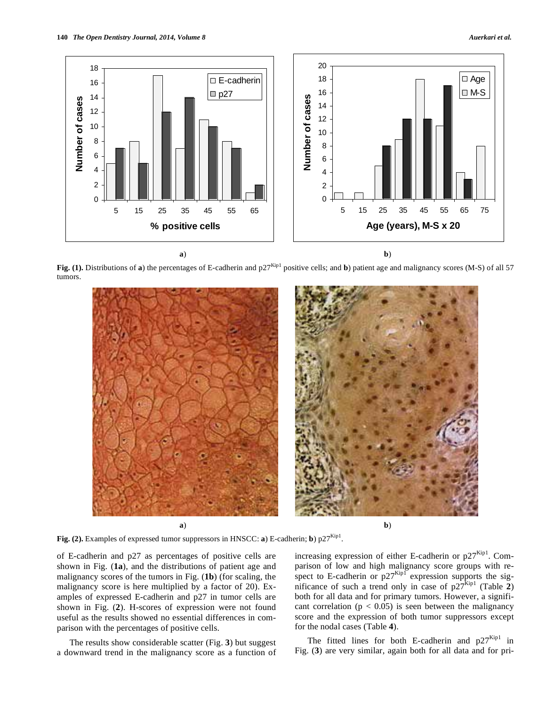

Fig. (1). Distributions of **a**) the percentages of E-cadherin and p27<sup>Kip1</sup> positive cells; and **b**) patient age and malignancy scores (M-S) of all 57 tumors.



Fig. (2). Examples of expressed tumor suppressors in HNSCC: **a**) E-cadherin; **b**)  $p27^{Kip1}$ .

of E-cadherin and p27 as percentages of positive cells are shown in Fig. (**1a**), and the distributions of patient age and malignancy scores of the tumors in Fig. (**1b**) (for scaling, the malignancy score is here multiplied by a factor of 20). Examples of expressed E-cadherin and p27 in tumor cells are shown in Fig. (**2**). H-scores of expression were not found useful as the results showed no essential differences in comparison with the percentages of positive cells.

The results show considerable scatter (Fig. **3**) but suggest a downward trend in the malignancy score as a function of

increasing expression of either E-cadherin or  $p27<sup>Kip1</sup>$ . Comparison of low and high malignancy score groups with respect to E-cadherin or  $p27^{Kip1}$  expression supports the significance of such a trend only in case of  $p27^{kip1}$  (Table 2) both for all data and for primary tumors. However, a significant correlation ( $p < 0.05$ ) is seen between the malignancy score and the expression of both tumor suppressors except for the nodal cases (Table **4**).

The fitted lines for both E-cadherin and  $p27<sup>Kip1</sup>$  in Fig. (**3**) are very similar, again both for all data and for pri-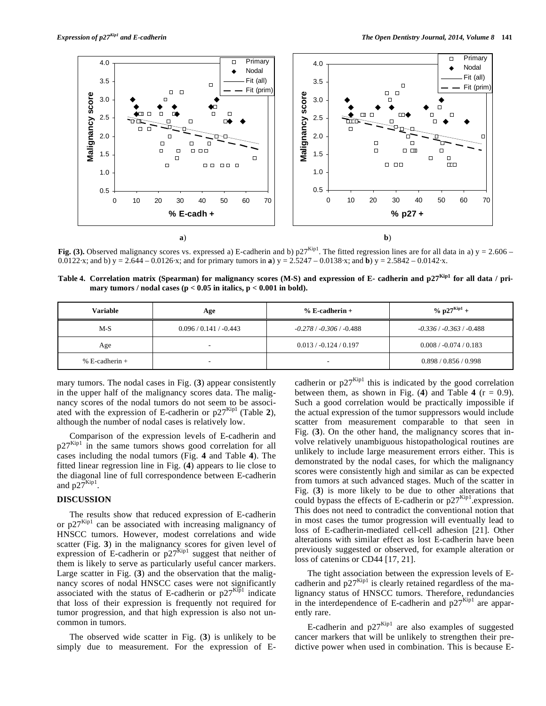

**Fig.** (3). Observed malignancy scores vs. expressed a) E-cadherin and b)  $p27^{kip}$ . The fitted regression lines are for all data in a) y = 2.606 – 0.0122·x; and b) y = 2.644 – 0.0126·x; and for primary tumors in **a**) y = 2.5247 – 0.0138·x; and **b**) y = 2.5842 – 0.0142·x.

Table 4. Correlation matrix (Spearman) for malignancy scores (M-S) and expression of E- cadherin and p27<sup>Kip1</sup> for all data / pri**mary tumors / nodal cases (p < 0.05 in italics, p < 0.001 in bold).** 

| <b>Variable</b>  | Age                      | $% E-cadherin +$         | % $p27^{Kip1} +$         |
|------------------|--------------------------|--------------------------|--------------------------|
| $M-S$            | $0.096 / 0.141 / -0.443$ | $-0.278/ -0.306/ -0.488$ | $-0.336/ -0.363/ -0.488$ |
| Age              |                          | $0.013 / -0.124 / 0.197$ | $0.008 / -0.074 / 0.183$ |
| % E-cadherin $+$ | -                        | $\overline{\phantom{0}}$ | 0.898 / 0.856 / 0.998    |

mary tumors. The nodal cases in Fig. (**3**) appear consistently in the upper half of the malignancy scores data. The malignancy scores of the nodal tumors do not seem to be associated with the expression of E-cadherin or  $p27^{Kip1}$  (Table 2), although the number of nodal cases is relatively low.

Comparison of the expression levels of E-cadherin and  $p27<sup>Kip1</sup>$  in the same tumors shows good correlation for all cases including the nodal tumors (Fig. **4** and Table **4**). The fitted linear regression line in Fig. (**4**) appears to lie close to the diagonal line of full correspondence between E-cadherin and  $p27^{Kip1}$ .

# **DISCUSSION**

The results show that reduced expression of E-cadherin or  $p27^{Kip1}$  can be associated with increasing malignancy of HNSCC tumors. However, modest correlations and wide scatter (Fig. **3**) in the malignancy scores for given level of expression of E-cadherin or  $p27^{kip1}$  suggest that neither of them is likely to serve as particularly useful cancer markers. Large scatter in Fig. (**3**) and the observation that the malignancy scores of nodal HNSCC cases were not significantly associated with the status of E-cadherin or  $p27<sup>Kip1</sup>$  indicate that loss of their expression is frequently not required for tumor progression, and that high expression is also not uncommon in tumors.

The observed wide scatter in Fig. (**3**) is unlikely to be simply due to measurement. For the expression of E- cadherin or  $p27^{Kip1}$  this is indicated by the good correlation between them, as shown in Fig. (4) and Table 4 ( $r = 0.9$ ). Such a good correlation would be practically impossible if the actual expression of the tumor suppressors would include scatter from measurement comparable to that seen in Fig. (**3**). On the other hand, the malignancy scores that involve relatively unambiguous histopathological routines are unlikely to include large measurement errors either. This is demonstrated by the nodal cases, for which the malignancy scores were consistently high and similar as can be expected from tumors at such advanced stages. Much of the scatter in Fig. (**3**) is more likely to be due to other alterations that could bypass the effects of E-cadherin or  $p27^{Kip1}$ .expression. This does not need to contradict the conventional notion that in most cases the tumor progression will eventually lead to loss of E-cadherin-mediated cell-cell adhesion [21]. Other alterations with similar effect as lost E-cadherin have been previously suggested or observed, for example alteration or loss of catenins or CD44 [17, 21].

The tight association between the expression levels of Ecadherin and  $p27^{Kip1}$  is clearly retained regardless of the malignancy status of HNSCC tumors. Therefore, redundancies in the interdependence of E-cadherin and  $p27<sup>Kip1</sup>$  are apparently rare.

E-cadherin and  $p27^{Kip1}$  are also examples of suggested cancer markers that will be unlikely to strengthen their predictive power when used in combination. This is because E-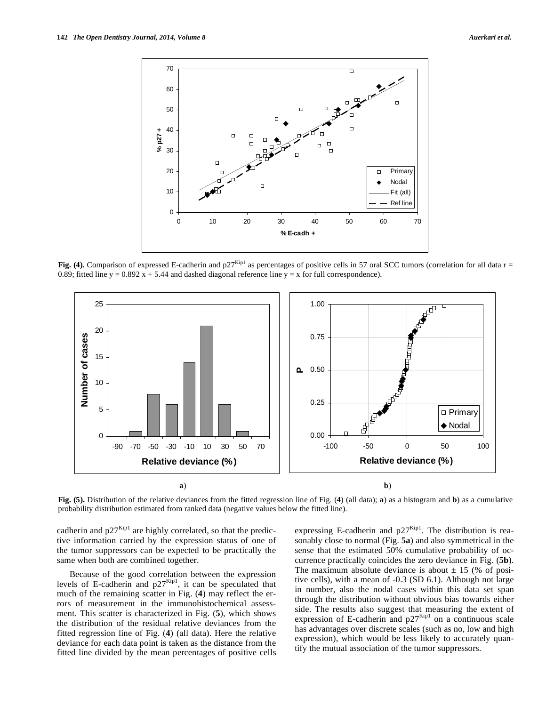

Fig. (4). Comparison of expressed E-cadherin and  $p27^{Kip1}$  as percentages of positive cells in 57 oral SCC tumors (correlation for all data r = 0.89; fitted line y = 0.892  $\overline{x}$  + 5.44 and dashed diagonal reference line y = x for full correspondence).



**Fig. (5).** Distribution of the relative deviances from the fitted regression line of Fig. (**4**) (all data); **a**) as a histogram and **b**) as a cumulative probability distribution estimated from ranked data (negative values below the fitted line).

cadherin and  $p27^{Kip1}$  are highly correlated, so that the predictive information carried by the expression status of one of the tumor suppressors can be expected to be practically the same when both are combined together.

Because of the good correlation between the expression levels of E-cadherin and  $p27<sup>Kip1</sup>$ , it can be speculated that much of the remaining scatter in Fig. (**4**) may reflect the errors of measurement in the immunohistochemical assessment. This scatter is characterized in Fig. (**5**), which shows the distribution of the residual relative deviances from the fitted regression line of Fig. (**4**) (all data). Here the relative deviance for each data point is taken as the distance from the fitted line divided by the mean percentages of positive cells

expressing E-cadherin and  $p27<sup>Kip1</sup>$ . The distribution is reasonably close to normal (Fig. **5a**) and also symmetrical in the sense that the estimated 50% cumulative probability of occurrence practically coincides the zero deviance in Fig. (**5b**). The maximum absolute deviance is about  $\pm$  15 (% of positive cells), with a mean of -0.3 (SD 6.1). Although not large in number, also the nodal cases within this data set span through the distribution without obvious bias towards either side. The results also suggest that measuring the extent of expression of E-cadherin and  $p27^{kip1}$  on a continuous scale has advantages over discrete scales (such as no, low and high expression), which would be less likely to accurately quantify the mutual association of the tumor suppressors.